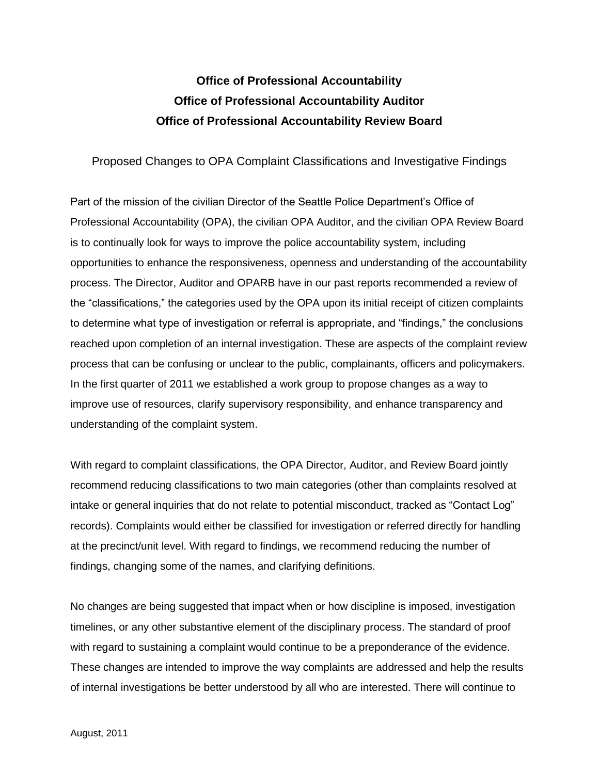# **Office of Professional Accountability Office of Professional Accountability Auditor Office of Professional Accountability Review Board**

### Proposed Changes to OPA Complaint Classifications and Investigative Findings

Part of the mission of the civilian Director of the Seattle Police Department's Office of Professional Accountability (OPA), the civilian OPA Auditor, and the civilian OPA Review Board is to continually look for ways to improve the police accountability system, including opportunities to enhance the responsiveness, openness and understanding of the accountability process. The Director, Auditor and OPARB have in our past reports recommended a review of the "classifications," the categories used by the OPA upon its initial receipt of citizen complaints to determine what type of investigation or referral is appropriate, and "findings," the conclusions reached upon completion of an internal investigation. These are aspects of the complaint review process that can be confusing or unclear to the public, complainants, officers and policymakers. In the first quarter of 2011 we established a work group to propose changes as a way to improve use of resources, clarify supervisory responsibility, and enhance transparency and understanding of the complaint system.

With regard to complaint classifications, the OPA Director, Auditor, and Review Board jointly recommend reducing classifications to two main categories (other than complaints resolved at intake or general inquiries that do not relate to potential misconduct, tracked as "Contact Log" records). Complaints would either be classified for investigation or referred directly for handling at the precinct/unit level. With regard to findings, we recommend reducing the number of findings, changing some of the names, and clarifying definitions.

No changes are being suggested that impact when or how discipline is imposed, investigation timelines, or any other substantive element of the disciplinary process. The standard of proof with regard to sustaining a complaint would continue to be a preponderance of the evidence. These changes are intended to improve the way complaints are addressed and help the results of internal investigations be better understood by all who are interested. There will continue to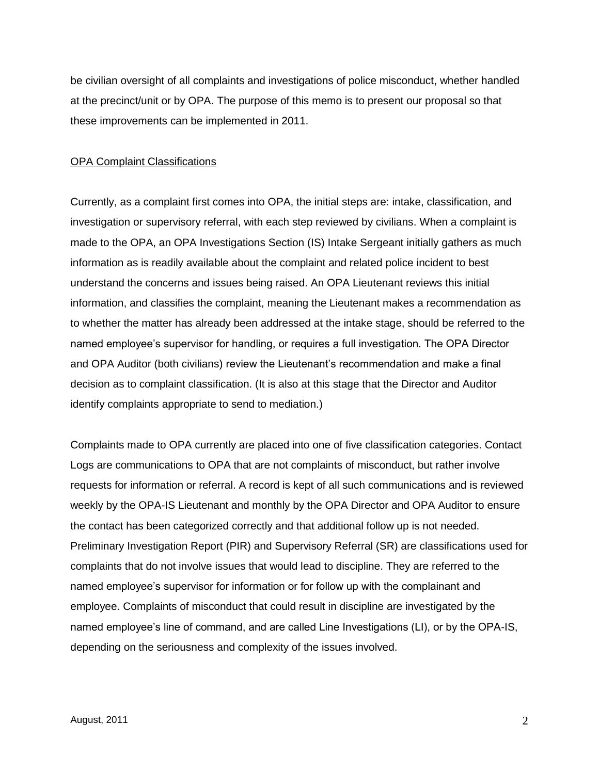be civilian oversight of all complaints and investigations of police misconduct, whether handled at the precinct/unit or by OPA. The purpose of this memo is to present our proposal so that these improvements can be implemented in 2011.

#### OPA Complaint Classifications

Currently, as a complaint first comes into OPA, the initial steps are: intake, classification, and investigation or supervisory referral, with each step reviewed by civilians. When a complaint is made to the OPA, an OPA Investigations Section (IS) Intake Sergeant initially gathers as much information as is readily available about the complaint and related police incident to best understand the concerns and issues being raised. An OPA Lieutenant reviews this initial information, and classifies the complaint, meaning the Lieutenant makes a recommendation as to whether the matter has already been addressed at the intake stage, should be referred to the named employee's supervisor for handling, or requires a full investigation. The OPA Director and OPA Auditor (both civilians) review the Lieutenant's recommendation and make a final decision as to complaint classification. (It is also at this stage that the Director and Auditor identify complaints appropriate to send to mediation.)

Complaints made to OPA currently are placed into one of five classification categories. Contact Logs are communications to OPA that are not complaints of misconduct, but rather involve requests for information or referral. A record is kept of all such communications and is reviewed weekly by the OPA-IS Lieutenant and monthly by the OPA Director and OPA Auditor to ensure the contact has been categorized correctly and that additional follow up is not needed. Preliminary Investigation Report (PIR) and Supervisory Referral (SR) are classifications used for complaints that do not involve issues that would lead to discipline. They are referred to the named employee's supervisor for information or for follow up with the complainant and employee. Complaints of misconduct that could result in discipline are investigated by the named employee's line of command, and are called Line Investigations (LI), or by the OPA-IS, depending on the seriousness and complexity of the issues involved.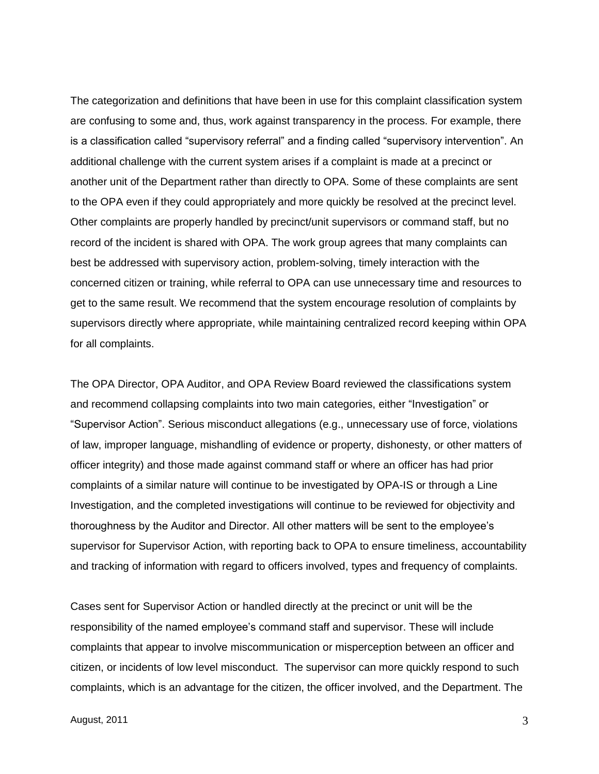The categorization and definitions that have been in use for this complaint classification system are confusing to some and, thus, work against transparency in the process. For example, there is a classification called "supervisory referral" and a finding called "supervisory intervention". An additional challenge with the current system arises if a complaint is made at a precinct or another unit of the Department rather than directly to OPA. Some of these complaints are sent to the OPA even if they could appropriately and more quickly be resolved at the precinct level. Other complaints are properly handled by precinct/unit supervisors or command staff, but no record of the incident is shared with OPA. The work group agrees that many complaints can best be addressed with supervisory action, problem-solving, timely interaction with the concerned citizen or training, while referral to OPA can use unnecessary time and resources to get to the same result. We recommend that the system encourage resolution of complaints by supervisors directly where appropriate, while maintaining centralized record keeping within OPA for all complaints.

The OPA Director, OPA Auditor, and OPA Review Board reviewed the classifications system and recommend collapsing complaints into two main categories, either "Investigation" or "Supervisor Action". Serious misconduct allegations (e.g., unnecessary use of force, violations of law, improper language, mishandling of evidence or property, dishonesty, or other matters of officer integrity) and those made against command staff or where an officer has had prior complaints of a similar nature will continue to be investigated by OPA-IS or through a Line Investigation, and the completed investigations will continue to be reviewed for objectivity and thoroughness by the Auditor and Director. All other matters will be sent to the employee's supervisor for Supervisor Action, with reporting back to OPA to ensure timeliness, accountability and tracking of information with regard to officers involved, types and frequency of complaints.

Cases sent for Supervisor Action or handled directly at the precinct or unit will be the responsibility of the named employee's command staff and supervisor. These will include complaints that appear to involve miscommunication or misperception between an officer and citizen, or incidents of low level misconduct. The supervisor can more quickly respond to such complaints, which is an advantage for the citizen, the officer involved, and the Department. The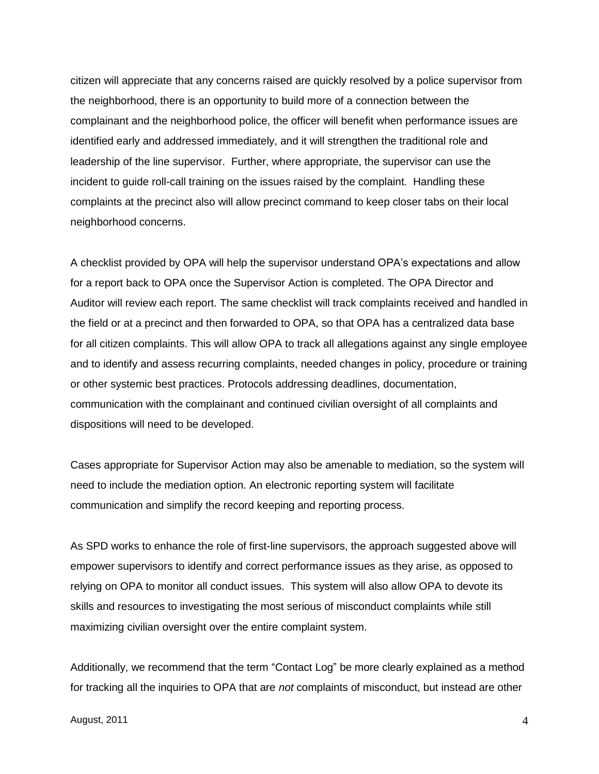citizen will appreciate that any concerns raised are quickly resolved by a police supervisor from the neighborhood, there is an opportunity to build more of a connection between the complainant and the neighborhood police, the officer will benefit when performance issues are identified early and addressed immediately, and it will strengthen the traditional role and leadership of the line supervisor. Further, where appropriate, the supervisor can use the incident to guide roll-call training on the issues raised by the complaint. Handling these complaints at the precinct also will allow precinct command to keep closer tabs on their local neighborhood concerns.

A checklist provided by OPA will help the supervisor understand OPA's expectations and allow for a report back to OPA once the Supervisor Action is completed. The OPA Director and Auditor will review each report. The same checklist will track complaints received and handled in the field or at a precinct and then forwarded to OPA, so that OPA has a centralized data base for all citizen complaints. This will allow OPA to track all allegations against any single employee and to identify and assess recurring complaints, needed changes in policy, procedure or training or other systemic best practices. Protocols addressing deadlines, documentation, communication with the complainant and continued civilian oversight of all complaints and dispositions will need to be developed.

Cases appropriate for Supervisor Action may also be amenable to mediation, so the system will need to include the mediation option. An electronic reporting system will facilitate communication and simplify the record keeping and reporting process.

As SPD works to enhance the role of first-line supervisors, the approach suggested above will empower supervisors to identify and correct performance issues as they arise, as opposed to relying on OPA to monitor all conduct issues. This system will also allow OPA to devote its skills and resources to investigating the most serious of misconduct complaints while still maximizing civilian oversight over the entire complaint system.

Additionally, we recommend that the term "Contact Log" be more clearly explained as a method for tracking all the inquiries to OPA that are *not* complaints of misconduct, but instead are other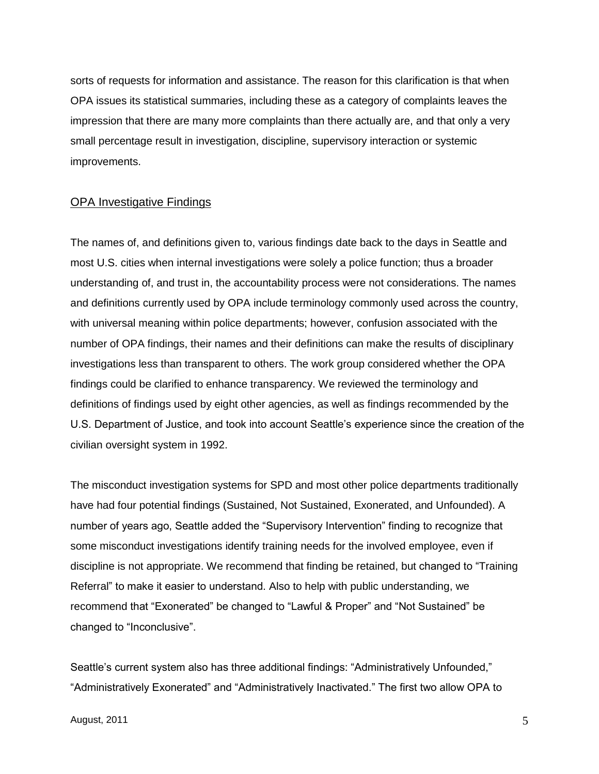sorts of requests for information and assistance. The reason for this clarification is that when OPA issues its statistical summaries, including these as a category of complaints leaves the impression that there are many more complaints than there actually are, and that only a very small percentage result in investigation, discipline, supervisory interaction or systemic improvements.

#### OPA Investigative Findings

The names of, and definitions given to, various findings date back to the days in Seattle and most U.S. cities when internal investigations were solely a police function; thus a broader understanding of, and trust in, the accountability process were not considerations. The names and definitions currently used by OPA include terminology commonly used across the country, with universal meaning within police departments; however, confusion associated with the number of OPA findings, their names and their definitions can make the results of disciplinary investigations less than transparent to others. The work group considered whether the OPA findings could be clarified to enhance transparency. We reviewed the terminology and definitions of findings used by eight other agencies, as well as findings recommended by the U.S. Department of Justice, and took into account Seattle's experience since the creation of the civilian oversight system in 1992.

The misconduct investigation systems for SPD and most other police departments traditionally have had four potential findings (Sustained, Not Sustained, Exonerated, and Unfounded). A number of years ago, Seattle added the "Supervisory Intervention" finding to recognize that some misconduct investigations identify training needs for the involved employee, even if discipline is not appropriate. We recommend that finding be retained, but changed to "Training Referral" to make it easier to understand. Also to help with public understanding, we recommend that "Exonerated" be changed to "Lawful & Proper" and "Not Sustained" be changed to "Inconclusive".

Seattle's current system also has three additional findings: "Administratively Unfounded," "Administratively Exonerated" and "Administratively Inactivated." The first two allow OPA to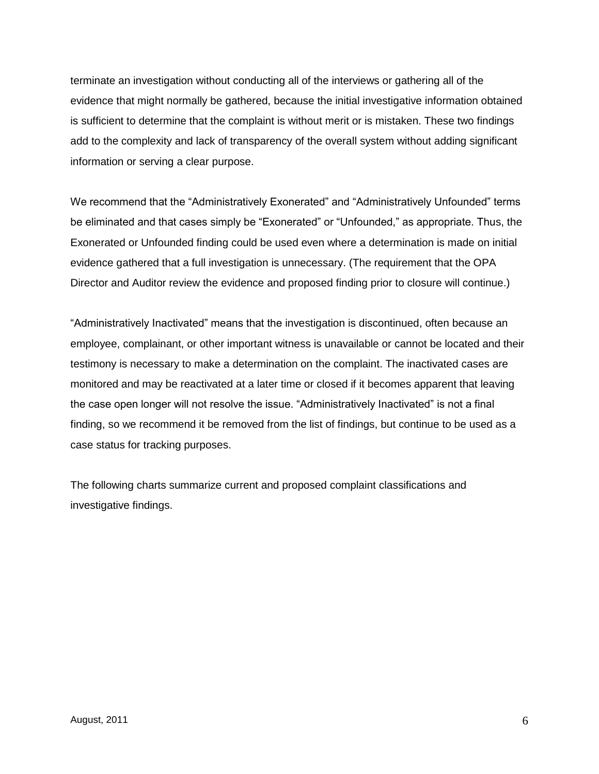terminate an investigation without conducting all of the interviews or gathering all of the evidence that might normally be gathered, because the initial investigative information obtained is sufficient to determine that the complaint is without merit or is mistaken. These two findings add to the complexity and lack of transparency of the overall system without adding significant information or serving a clear purpose.

We recommend that the "Administratively Exonerated" and "Administratively Unfounded" terms be eliminated and that cases simply be "Exonerated" or "Unfounded," as appropriate. Thus, the Exonerated or Unfounded finding could be used even where a determination is made on initial evidence gathered that a full investigation is unnecessary. (The requirement that the OPA Director and Auditor review the evidence and proposed finding prior to closure will continue.)

"Administratively Inactivated" means that the investigation is discontinued, often because an employee, complainant, or other important witness is unavailable or cannot be located and their testimony is necessary to make a determination on the complaint. The inactivated cases are monitored and may be reactivated at a later time or closed if it becomes apparent that leaving the case open longer will not resolve the issue. "Administratively Inactivated" is not a final finding, so we recommend it be removed from the list of findings, but continue to be used as a case status for tracking purposes.

The following charts summarize current and proposed complaint classifications and investigative findings.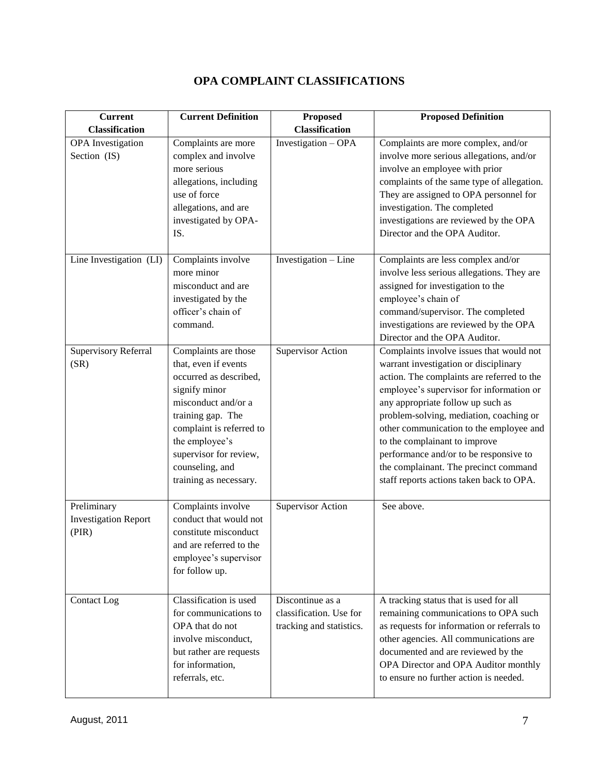## **OPA COMPLAINT CLASSIFICATIONS**

| <b>Current</b>                                      | <b>Current Definition</b>                                                                                                                                                                                                                                | <b>Proposed</b>                                                         | <b>Proposed Definition</b>                                                                                                                                                                                                                                                                                                                                                                                                                                             |
|-----------------------------------------------------|----------------------------------------------------------------------------------------------------------------------------------------------------------------------------------------------------------------------------------------------------------|-------------------------------------------------------------------------|------------------------------------------------------------------------------------------------------------------------------------------------------------------------------------------------------------------------------------------------------------------------------------------------------------------------------------------------------------------------------------------------------------------------------------------------------------------------|
| <b>Classification</b>                               |                                                                                                                                                                                                                                                          | <b>Classification</b>                                                   |                                                                                                                                                                                                                                                                                                                                                                                                                                                                        |
| <b>OPA</b> Investigation<br>Section (IS)            | Complaints are more<br>complex and involve<br>more serious<br>allegations, including<br>use of force<br>allegations, and are<br>investigated by OPA-<br>IS.                                                                                              | Investigation - OPA                                                     | Complaints are more complex, and/or<br>involve more serious allegations, and/or<br>involve an employee with prior<br>complaints of the same type of allegation.<br>They are assigned to OPA personnel for<br>investigation. The completed<br>investigations are reviewed by the OPA<br>Director and the OPA Auditor.                                                                                                                                                   |
| Line Investigation (LI)                             | Complaints involve<br>more minor<br>misconduct and are<br>investigated by the<br>officer's chain of<br>command.                                                                                                                                          | Investigation - Line                                                    | Complaints are less complex and/or<br>involve less serious allegations. They are<br>assigned for investigation to the<br>employee's chain of<br>command/supervisor. The completed<br>investigations are reviewed by the OPA<br>Director and the OPA Auditor.                                                                                                                                                                                                           |
| Supervisory Referral<br>(SR)                        | Complaints are those<br>that, even if events<br>occurred as described,<br>signify minor<br>misconduct and/or a<br>training gap. The<br>complaint is referred to<br>the employee's<br>supervisor for review,<br>counseling, and<br>training as necessary. | <b>Supervisor Action</b>                                                | Complaints involve issues that would not<br>warrant investigation or disciplinary<br>action. The complaints are referred to the<br>employee's supervisor for information or<br>any appropriate follow up such as<br>problem-solving, mediation, coaching or<br>other communication to the employee and<br>to the complainant to improve<br>performance and/or to be responsive to<br>the complainant. The precinct command<br>staff reports actions taken back to OPA. |
| Preliminary<br><b>Investigation Report</b><br>(PIR) | Complaints involve<br>conduct that would not<br>constitute misconduct<br>and are referred to the<br>employee's supervisor<br>for follow up.                                                                                                              | <b>Supervisor Action</b>                                                | See above.                                                                                                                                                                                                                                                                                                                                                                                                                                                             |
| Contact Log                                         | Classification is used<br>for communications to<br>OPA that do not<br>involve misconduct,<br>but rather are requests<br>for information,<br>referrals, etc.                                                                                              | Discontinue as a<br>classification. Use for<br>tracking and statistics. | A tracking status that is used for all<br>remaining communications to OPA such<br>as requests for information or referrals to<br>other agencies. All communications are<br>documented and are reviewed by the<br>OPA Director and OPA Auditor monthly<br>to ensure no further action is needed.                                                                                                                                                                        |